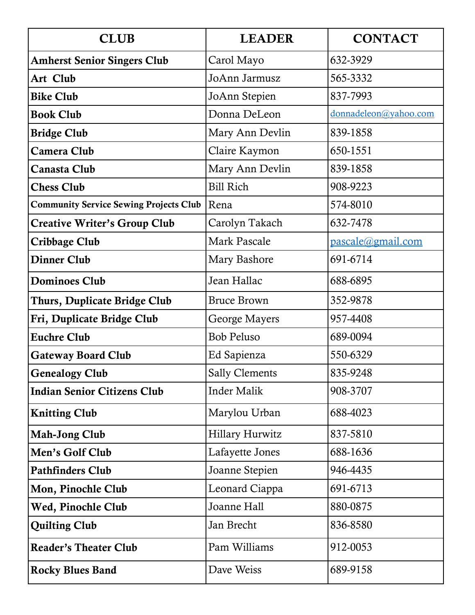| <b>CLUB</b>                                   | <b>LEADER</b>          | <b>CONTACT</b>        |
|-----------------------------------------------|------------------------|-----------------------|
| <b>Amherst Senior Singers Club</b>            | Carol Mayo             | 632-3929              |
| Art Club                                      | JoAnn Jarmusz          | 565-3332              |
| <b>Bike Club</b>                              | JoAnn Stepien          | 837-7993              |
| <b>Book Club</b>                              | Donna DeLeon           | donnadeleon@yahoo.com |
| <b>Bridge Club</b>                            | Mary Ann Devlin        | 839-1858              |
| <b>Camera Club</b>                            | Claire Kaymon          | 650-1551              |
| Canasta Club                                  | Mary Ann Devlin        | 839-1858              |
| <b>Chess Club</b>                             | <b>Bill Rich</b>       | 908-9223              |
| <b>Community Service Sewing Projects Club</b> | Rena                   | 574-8010              |
| <b>Creative Writer's Group Club</b>           | Carolyn Takach         | 632-7478              |
| Cribbage Club                                 | <b>Mark Pascale</b>    | pascale@gmail.com     |
| <b>Dinner Club</b>                            | Mary Bashore           | 691-6714              |
| <b>Dominoes Club</b>                          | Jean Hallac            | 688-6895              |
| Thurs, Duplicate Bridge Club                  | <b>Bruce Brown</b>     | 352-9878              |
| Fri, Duplicate Bridge Club                    | George Mayers          | 957-4408              |
| <b>Euchre Club</b>                            | <b>Bob Peluso</b>      | 689-0094              |
| <b>Gateway Board Club</b>                     | Ed Sapienza            | 550-6329              |
| <b>Genealogy Club</b>                         | <b>Sally Clements</b>  | 835-9248              |
| <b>Indian Senior Citizens Club</b>            | <b>Inder Malik</b>     | 908-3707              |
| <b>Knitting Club</b>                          | Marylou Urban          | 688-4023              |
| <b>Mah-Jong Club</b>                          | <b>Hillary Hurwitz</b> | 837-5810              |
| Men's Golf Club                               | Lafayette Jones        | 688-1636              |
| <b>Pathfinders Club</b>                       | Joanne Stepien         | 946-4435              |
| Mon, Pinochle Club                            | Leonard Ciappa         | 691-6713              |
| Wed, Pinochle Club                            | Joanne Hall            | 880-0875              |
| <b>Quilting Club</b>                          | Jan Brecht             | 836-8580              |
| <b>Reader's Theater Club</b>                  | Pam Williams           | 912-0053              |
| <b>Rocky Blues Band</b>                       | Dave Weiss             | 689-9158              |